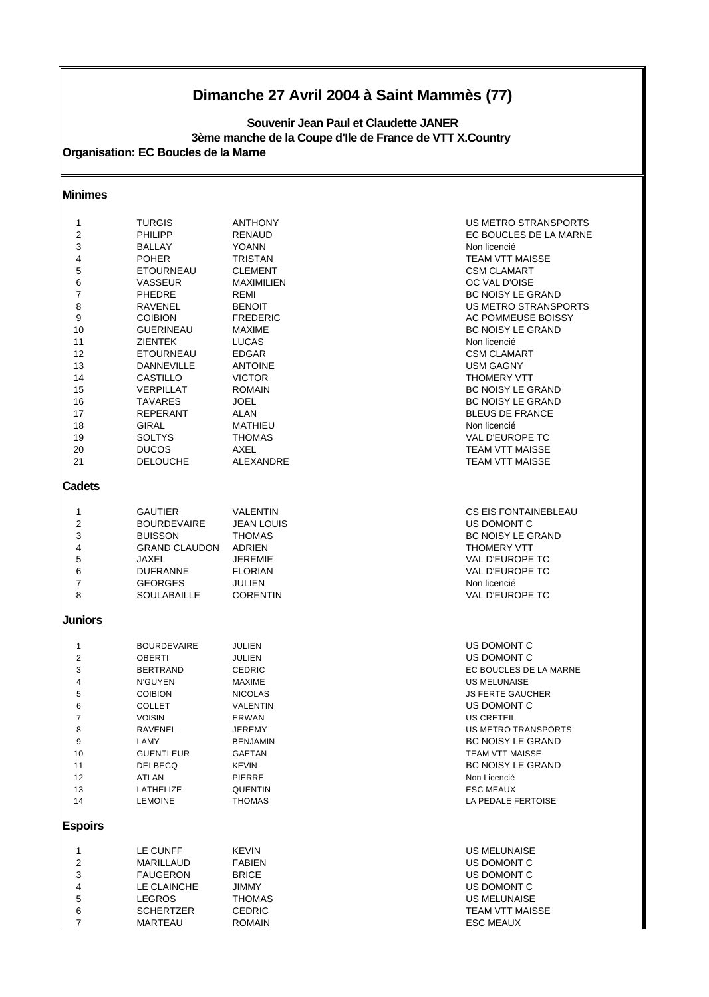# **Dimanche 27 Avril 2004 à Saint Mammès (77)**

**Organisation: EC Boucles de la Marne 3ème manche de la Coupe d'Ile de France de VTT X.Country Souvenir Jean Paul et Claudette JANER**

### **Minimes**

| 1              | <b>TURGIS</b>        | <b>ANTHONY</b>    | US METRO STRANSPORTS        |
|----------------|----------------------|-------------------|-----------------------------|
| 2              | <b>PHILIPP</b>       | RENAUD            | EC BOUCLES DE LA MARNE      |
| 3              | BALLAY               | <b>YOANN</b>      | Non licencié                |
|                |                      |                   |                             |
| 4              | <b>POHER</b>         | <b>TRISTAN</b>    | <b>TEAM VTT MAISSE</b>      |
| 5              | <b>ETOURNEAU</b>     | <b>CLEMENT</b>    | <b>CSM CLAMART</b>          |
| 6              | <b>VASSEUR</b>       | <b>MAXIMILIEN</b> | OC VAL D'OISE               |
| 7              | <b>PHEDRE</b>        | REMI              | BC NOISY LE GRAND           |
| 8              | RAVENEL              | <b>BENOIT</b>     | US METRO STRANSPORTS        |
| 9              | <b>COIBION</b>       | <b>FREDERIC</b>   | AC POMMEUSE BOISSY          |
| 10             | <b>GUERINEAU</b>     | <b>MAXIME</b>     | <b>BC NOISY LE GRAND</b>    |
| 11             | <b>ZIENTEK</b>       | <b>LUCAS</b>      | Non licencié                |
| 12             | <b>ETOURNEAU</b>     | <b>EDGAR</b>      | <b>CSM CLAMART</b>          |
|                |                      |                   |                             |
| 13             | DANNEVILLE           | <b>ANTOINE</b>    | <b>USM GAGNY</b>            |
| 14             | CASTILLO             | <b>VICTOR</b>     | <b>THOMERY VTT</b>          |
| 15             | VERPILLAT            | <b>ROMAIN</b>     | <b>BC NOISY LE GRAND</b>    |
| 16             | <b>TAVARES</b>       | JOEL              | <b>BC NOISY LE GRAND</b>    |
| 17             | <b>REPERANT</b>      | <b>ALAN</b>       | <b>BLEUS DE FRANCE</b>      |
| 18             | <b>GIRAL</b>         | <b>MATHIEU</b>    | Non licencié                |
| 19             | <b>SOLTYS</b>        | <b>THOMAS</b>     | VAL D'EUROPE TC             |
|                |                      | AXEL              | <b>TEAM VTT MAISSE</b>      |
| 20             | <b>DUCOS</b>         |                   |                             |
| 21             | <b>DELOUCHE</b>      | ALEXANDRE         | <b>TEAM VTT MAISSE</b>      |
| Cadets         |                      |                   |                             |
|                |                      |                   |                             |
| 1              | <b>GAUTIER</b>       | <b>VALENTIN</b>   | <b>CS EIS FONTAINEBLEAU</b> |
| 2              | <b>BOURDEVAIRE</b>   | <b>JEAN LOUIS</b> | US DOMONT C                 |
| 3              | <b>BUISSON</b>       | <b>THOMAS</b>     | <b>BC NOISY LE GRAND</b>    |
| 4              | <b>GRAND CLAUDON</b> | ADRIEN            | <b>THOMERY VTT</b>          |
| 5              | JAXEL                | <b>JEREMIE</b>    | VAL D'EUROPE TC             |
| 6              | <b>DUFRANNE</b>      | <b>FLORIAN</b>    | VAL D'EUROPE TC             |
| 7              | <b>GEORGES</b>       | JULIEN            | Non licencié                |
| 8              | <b>SOULABAILLE</b>   | <b>CORENTIN</b>   | VAL D'EUROPE TC             |
| <b>Juniors</b> |                      |                   |                             |
|                |                      |                   |                             |
| $\mathbf{1}$   | <b>BOURDEVAIRE</b>   | JULIEN            | US DOMONT C                 |
| $\overline{2}$ | <b>OBERTI</b>        | JULIEN            | US DOMONT C                 |
| 3              | <b>BERTRAND</b>      | <b>CEDRIC</b>     | EC BOUCLES DE LA MARNE      |
| 4              | N'GUYEN              | MAXIME            | <b>US MELUNAISE</b>         |
| 5              | <b>COIBION</b>       | <b>NICOLAS</b>    | <b>JS FERTE GAUCHER</b>     |
| 6              | <b>COLLET</b>        | VALENTIN          | US DOMONT C                 |
| $\overline{7}$ | <b>VOISIN</b>        | ERWAN             | <b>US CRETEIL</b>           |
|                |                      |                   |                             |
| 8              | RAVENEL              | <b>JEREMY</b>     | <b>US METRO TRANSPORTS</b>  |
| 9              | LAMY                 | BENJAMIN          | BC NOISY LE GRAND           |
| 10             | <b>GUENTLEUR</b>     | <b>GAETAN</b>     | TEAM VTT MAISSE             |
| 11             | DELBECQ              | <b>KEVIN</b>      | <b>BC NOISY LE GRAND</b>    |
| 12             | ATLAN                | PIERRE            | Non Licencié                |
| 13             | LATHELIZE            | QUENTIN           | <b>ESC MEAUX</b>            |
| 14             | <b>LEMOINE</b>       | THOMAS            | LA PEDALE FERTOISE          |
| <b>Espoirs</b> |                      |                   |                             |
|                |                      |                   |                             |
| 1              | LE CUNFF             | <b>KEVIN</b>      | <b>US MELUNAISE</b>         |
| 2              | MARILLAUD            | FABIEN            | US DOMONT C                 |
| 3              | <b>FAUGERON</b>      | BRICE             | US DOMONT C                 |
| 4              | LE CLAINCHE          | <b>JIMMY</b>      | US DOMONT C                 |
| 5              | <b>LEGROS</b>        | <b>THOMAS</b>     | <b>US MELUNAISE</b>         |
|                |                      |                   |                             |
| 6              | <b>SCHERTZER</b>     | <b>CEDRIC</b>     | TEAM VTT MAISSE             |
| $\overline{7}$ | MARTEAU              | ROMAIN            | <b>ESC MEAUX</b>            |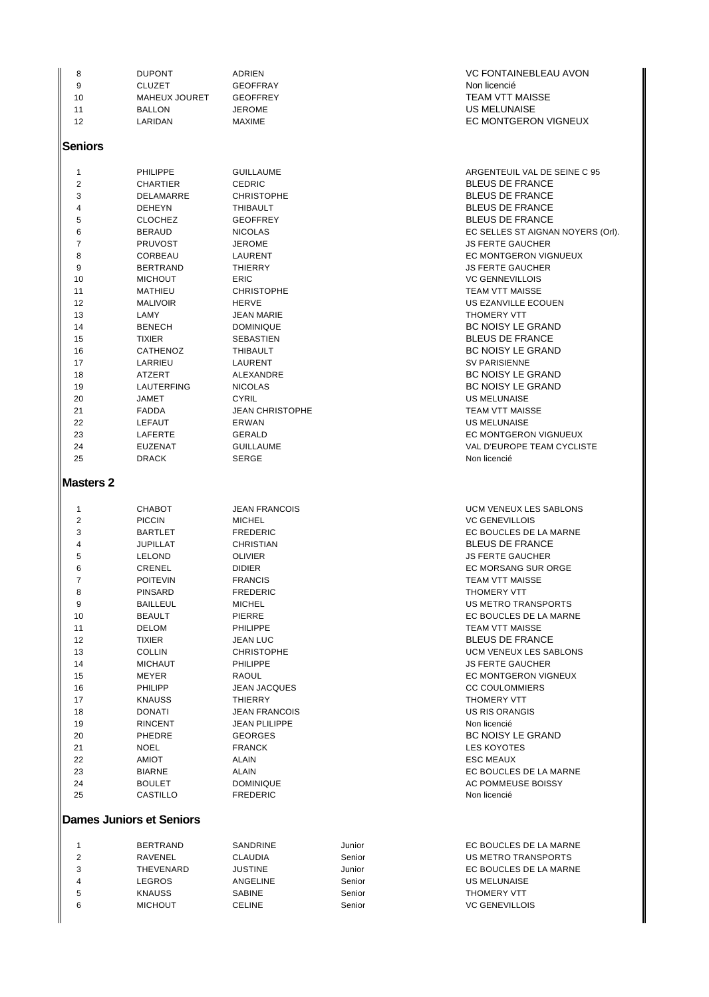| <b>CLUZET</b><br>9<br>MAHEUX JOURET<br>10<br>11<br><b>BALLON</b><br>12 | 8 | <b>DUPONT</b> | ADRIEN        |
|------------------------------------------------------------------------|---|---------------|---------------|
|                                                                        |   |               | <b>GEOFFF</b> |
|                                                                        |   |               | <b>GEOFFF</b> |
|                                                                        |   |               | <b>JEROME</b> |
|                                                                        |   | LARIDAN       | <b>MAXIME</b> |

#### **Seniors**

| 1              | <b>PHILIPPE</b>   | <b>GUILLAUME</b>                   | <b>ARGENTEU</b>    |  |  |
|----------------|-------------------|------------------------------------|--------------------|--|--|
| 2              | <b>CHARTIER</b>   | <b>CEDRIC</b>                      | <b>BLEUS DE</b>    |  |  |
| 3              | DELAMARRE         | <b>CHRISTOPHE</b>                  | <b>BLEUS DE</b>    |  |  |
| 4              | <b>DEHEYN</b>     | <b>BLEUS DE</b><br><b>THIBAULT</b> |                    |  |  |
| 5              | <b>CLOCHEZ</b>    | <b>BLEUS DE</b><br><b>GEOFFREY</b> |                    |  |  |
| 6              | <b>BERAUD</b>     | <b>NICOLAS</b>                     | <b>EC SELLES</b>   |  |  |
| $\overline{7}$ | <b>PRUVOST</b>    | <b>JEROME</b>                      | <b>JS FERTE G</b>  |  |  |
| 8              | CORBEAU           | LAURENT                            | <b>EC MONTGI</b>   |  |  |
| 9              | <b>BERTRAND</b>   | <b>THIERRY</b>                     | <b>JS FERTE G</b>  |  |  |
| 10             | <b>MICHOUT</b>    | <b>ERIC</b>                        | <b>VC GENNEV</b>   |  |  |
| 11             | <b>MATHIEU</b>    | <b>CHRISTOPHE</b>                  |                    |  |  |
| 12             | <b>MALIVOIR</b>   | <b>HERVE</b>                       | <b>US EZANVIL</b>  |  |  |
| 13             | LAMY              | <b>JEAN MARIE</b>                  | THOMERY \          |  |  |
| 14             | <b>BENECH</b>     | <b>DOMINIQUE</b>                   | <b>BC NOISY</b>    |  |  |
| 15             | <b>TIXIER</b>     | <b>SEBASTIEN</b>                   | <b>BLEUS DE</b>    |  |  |
| 16             | CATHENOZ          | <b>THIBAULT</b>                    | <b>BC NOISY</b>    |  |  |
| 17             | LARRIEU           | LAURENT                            | <b>SV PARISIEI</b> |  |  |
| 18             | ATZERT            | <b>ALEXANDRE</b>                   | <b>BC NOISY</b>    |  |  |
| 19             | <b>LAUTERFING</b> | <b>NICOLAS</b>                     | <b>BC NOISY</b>    |  |  |
| 20             | <b>JAMET</b>      | <b>CYRIL</b>                       | <b>US MELUNA</b>   |  |  |
| 21             | <b>FADDA</b>      | <b>JEAN CHRISTOPHE</b>             | <b>TEAM VTT N</b>  |  |  |
| 22             | <b>LEFAUT</b>     | <b>ERWAN</b>                       | <b>US MELUNA</b>   |  |  |
| 23             | LAFERTE           | <b>GERALD</b>                      | <b>EC MONTGI</b>   |  |  |
| 24             | <b>EUZENAT</b>    | <b>GUILLAUME</b>                   | VAL D'EURC         |  |  |
| 25             | <b>DRACK</b>      | <b>SERGE</b>                       | Non licencié       |  |  |
|                |                   |                                    |                    |  |  |

#### **Masters 2**

| 1              | <b>CHABOT</b>   | <b>JEAN FRANCOIS</b>                  | <b>UCM VENEU</b>  |  |  |
|----------------|-----------------|---------------------------------------|-------------------|--|--|
| $\overline{2}$ | <b>PICCIN</b>   | <b>VC GENEVIL</b><br><b>MICHEL</b>    |                   |  |  |
| 3              | <b>BARTLET</b>  | <b>EC BOUCLE</b><br><b>FREDERIC</b>   |                   |  |  |
| $\overline{4}$ | <b>JUPILLAT</b> | <b>BLEUS DE</b><br><b>CHRISTIAN</b>   |                   |  |  |
| 5              | LELOND          | <b>JS FERTE G</b><br><b>OLIVIER</b>   |                   |  |  |
| 6              | CRENEL          | <b>DIDIER</b>                         | <b>EC MORSAN</b>  |  |  |
| 7              | <b>POITEVIN</b> | <b>FRANCIS</b>                        | <b>TEAM VTT M</b> |  |  |
| 8              | <b>PINSARD</b>  | <b>FREDERIC</b>                       | <b>THOMERY V</b>  |  |  |
| 9              | <b>BAILLEUL</b> | <b>MICHEL</b>                         | US METRO 1        |  |  |
| 10             | <b>BEAULT</b>   | <b>EC BOUCLE</b><br><b>PIERRE</b>     |                   |  |  |
| 11             | <b>DELOM</b>    | <b>TEAM VTT M</b><br>PHILIPPE         |                   |  |  |
| 12             | <b>TIXIER</b>   | <b>JEAN LUC</b>                       |                   |  |  |
| 13             | <b>COLLIN</b>   | <b>UCM VENEU</b><br><b>CHRISTOPHE</b> |                   |  |  |
| 14             | <b>MICHAUT</b>  | PHILIPPE                              | <b>JS FERTE G</b> |  |  |
| 15             | <b>MEYER</b>    | RAOUL                                 | <b>EC MONTGE</b>  |  |  |
| 16             | PHILIPP         | <b>JEAN JACQUES</b>                   | <b>CC COULON</b>  |  |  |
| 17             | <b>KNAUSS</b>   | <b>THIERRY</b>                        | <b>THOMERY V</b>  |  |  |
| 18             | <b>DONATI</b>   | <b>JEAN FRANCOIS</b>                  | <b>US RIS ORA</b> |  |  |
| 19             | <b>RINCENT</b>  | <b>JEAN PLILIPPE</b><br>Non licencié  |                   |  |  |
| 20             | PHEDRE          | <b>BC NOISY I</b><br><b>GEORGES</b>   |                   |  |  |
| 21             | <b>NOEL</b>     | <b>FRANCK</b>                         | <b>LES KOYOTI</b> |  |  |
| 22             | <b>AMIOT</b>    | <b>ALAIN</b>                          | <b>ESC MEAUX</b>  |  |  |
| 23             | <b>BIARNE</b>   | <b>ALAIN</b>                          | <b>EC BOUCLE</b>  |  |  |
| 24             | <b>BOULET</b>   | <b>DOMINIQUE</b>                      | <b>AC POMMEL</b>  |  |  |
| 25             | <b>CASTILLO</b> | <b>FREDERIC</b>                       | Non licencié      |  |  |
|                |                 |                                       |                   |  |  |

#### **Dames Juniors et Seniors**

| 1  | <b>BERTRAND</b> |
|----|-----------------|
| 2  | RAVENFI         |
| 3  | THEVENARD       |
| 4  | LEGROS          |
| 5  | <b>KNAUSS</b>   |
| ิค | <b>MICHOUT</b>  |

**VC FONTAINEBLEAU AVON** PRAY EXAMPLE GEOFFRAY Non licencié **10 MAHEUX 10 MAHEUX JOURNAL SEE AND TEAM VTT MAISSE** 11 BALLON JUS MELUNAISE EC MONTGERON VIGNEUX

> ARGENTEUIL VAL DE SEINE C 95 BLEUS DE FRANCE BLEUS DE FRANCE BLEUS DE FRANCE BLEUS DE FRANCE EC SELLES ST AIGNAN NOYERS (Orl). **JS FERTE GAUCHER** EC MONTGERON VIGNUEUX **JS FERTE GAUCHER VC GENNEVILLOIS** TEAM VTT MAISSE US EZANVILLE ECOUEN THOMERY VTT BC NOISY LE GRAND BLEUS DE FRANCE BC NOISY LE GRAND SV PARISIENNE BC NOISY LE GRAND BC NOISY LE GRAND US MELUNAISE PHE **TEAM VTT MAISSE** US MELUNAISE EC MONTGERON VIGNUEUX VAL D'EUROPE TEAM CYCLISTE

**1 COIS 1 CHABOT 1 CHABOT JEAN FRANCOIS** UCM VENEUX LES SABLONS **VC GENEVILLOIS** EC BOUCLES DE LA MARNE BLEUS DE FRANCE 5 LELOND OLIVIER JS FERTE GAUCHER EC MORSANG SUR ORGE **TEAM VTT MAISSE** THOMERY VTT **US METRO TRANSPORTS** EC BOUCLES DE LA MARNE TEAM VTT MAISSE **BLEUS DE FRANCE** 13 COLLIN CHARGE UCM VENEUX LES SABLONS **JS FERTE GAUCHER FC MONTGERON VIGNEUX 16 PHILIPP JEAN AND CONSUMIERS** CC COULOMMIERS THOMERY VTT **18 DONATI COIS** US RIS ORANGIS BC NOISY LE GRAND **LES KOYOTES** EC BOUCLES DE LA MARNE AC POMMEUSE BOISSY

SANDRINE Junior Junior EC BOUCLES DE LA MARNE CLAUDIA Senior Senior US METRO TRANSPORTS JUSTINE Junior Junior EC BOUCLES DE LA MARNE ANGELINE Senior Senior US MELUNAISE SABINE Senior Senior THOMERY VTT CELINE Senior Senior VC GENEVILLOIS